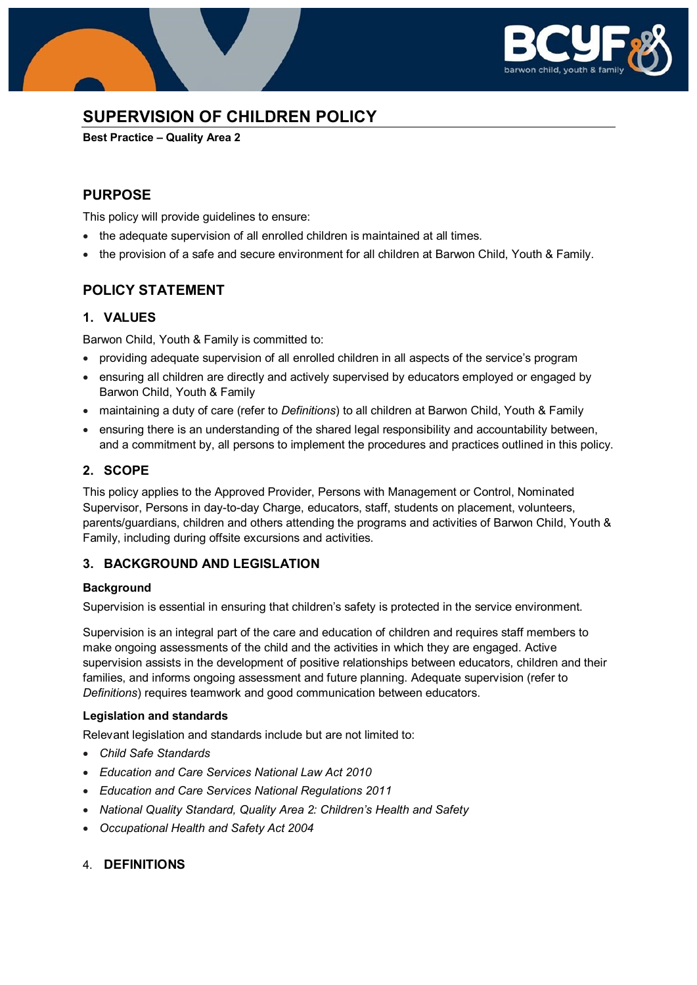

# **SUPERVISION OF CHILDREN POLICY**

**Best Practice – Quality Area 2**

### **PURPOSE**

This policy will provide guidelines to ensure:

- the adequate supervision of all enrolled children is maintained at all times.
- the provision of a safe and secure environment for all children at Barwon Child, Youth & Family.

# **POLICY STATEMENT**

### **1. VALUES**

Barwon Child, Youth & Family is committed to:

- providing adequate supervision of all enrolled children in all aspects of the service's program
- ensuring all children are directly and actively supervised by educators employed or engaged by Barwon Child, Youth & Family
- maintaining a duty of care (refer to *Definitions*) to all children at Barwon Child, Youth & Family
- ensuring there is an understanding of the shared legal responsibility and accountability between, and a commitment by, all persons to implement the procedures and practices outlined in this policy.

### **2. SCOPE**

This policy applies to the Approved Provider, Persons with Management or Control, Nominated Supervisor, Persons in day-to-day Charge, educators, staff, students on placement, volunteers, parents/guardians, children and others attending the programs and activities of Barwon Child, Youth & Family, including during offsite excursions and activities.

### **3. BACKGROUND AND LEGISLATION**

### **Background**

Supervision is essential in ensuring that children's safety is protected in the service environment.

Supervision is an integral part of the care and education of children and requires staff members to make ongoing assessments of the child and the activities in which they are engaged. Active supervision assists in the development of positive relationships between educators, children and their families, and informs ongoing assessment and future planning. Adequate supervision (refer to *Definitions*) requires teamwork and good communication between educators.

#### **Legislation and standards**

Relevant legislation and standards include but are not limited to:

- *Child Safe Standards*
- *Education and Care Services National Law Act 2010*
- *Education and Care Services National Regulations 2011*
- *National Quality Standard, Quality Area 2: Children's Health and Safety*
- *Occupational Health and Safety Act 2004*
- 4. **DEFINITIONS**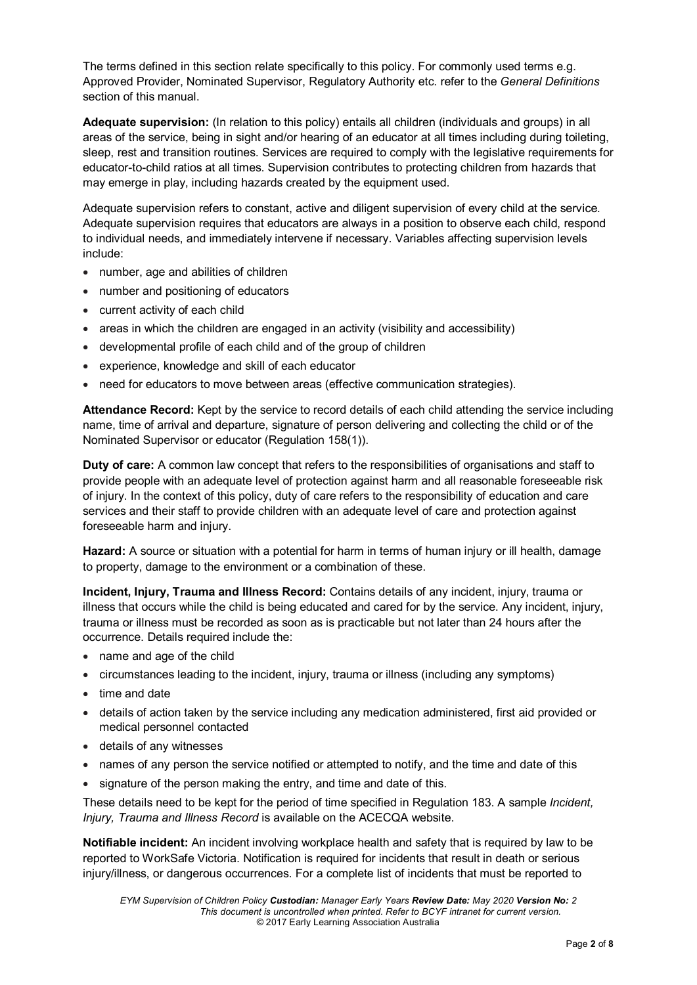The terms defined in this section relate specifically to this policy. For commonly used terms e.g. Approved Provider, Nominated Supervisor, Regulatory Authority etc. refer to the *General Definitions* section of this manual.

**Adequate supervision:** (In relation to this policy) entails all children (individuals and groups) in all areas of the service, being in sight and/or hearing of an educator at all times including during toileting. sleep, rest and transition routines. Services are required to comply with the legislative requirements for educator-to-child ratios at all times. Supervision contributes to protecting children from hazards that may emerge in play, including hazards created by the equipment used.

Adequate supervision refers to constant, active and diligent supervision of every child at the service. Adequate supervision requires that educators are always in a position to observe each child, respond to individual needs, and immediately intervene if necessary. Variables affecting supervision levels include:

- number, age and abilities of children
- number and positioning of educators
- current activity of each child
- areas in which the children are engaged in an activity (visibility and accessibility)
- developmental profile of each child and of the group of children
- experience, knowledge and skill of each educator
- need for educators to move between areas (effective communication strategies).

**Attendance Record:** Kept by the service to record details of each child attending the service including name, time of arrival and departure, signature of person delivering and collecting the child or of the Nominated Supervisor or educator (Regulation 158(1)).

**Duty of care:** A common law concept that refers to the responsibilities of organisations and staff to provide people with an adequate level of protection against harm and all reasonable foreseeable risk of injury. In the context of this policy, duty of care refers to the responsibility of education and care services and their staff to provide children with an adequate level of care and protection against foreseeable harm and injury.

**Hazard:** A source or situation with a potential for harm in terms of human injury or ill health, damage to property, damage to the environment or a combination of these.

**Incident, Injury, Trauma and Illness Record:** Contains details of any incident, injury, trauma or illness that occurs while the child is being educated and cared for by the service. Any incident, injury, trauma or illness must be recorded as soon as is practicable but not later than 24 hours after the occurrence. Details required include the:

- name and age of the child
- circumstances leading to the incident, injury, trauma or illness (including any symptoms)
- time and date
- details of action taken by the service including any medication administered, first aid provided or medical personnel contacted
- details of any witnesses
- names of any person the service notified or attempted to notify, and the time and date of this
- signature of the person making the entry, and time and date of this.

These details need to be kept for the period of time specified in Regulation 183. A sample *Incident, Injury, Trauma and Illness Record* is available on the ACECQA website.

**Notifiable incident:** An incident involving workplace health and safety that is required by law to be reported to WorkSafe Victoria. Notification is required for incidents that result in death or serious injury/illness, or dangerous occurrences. For a complete list of incidents that must be reported to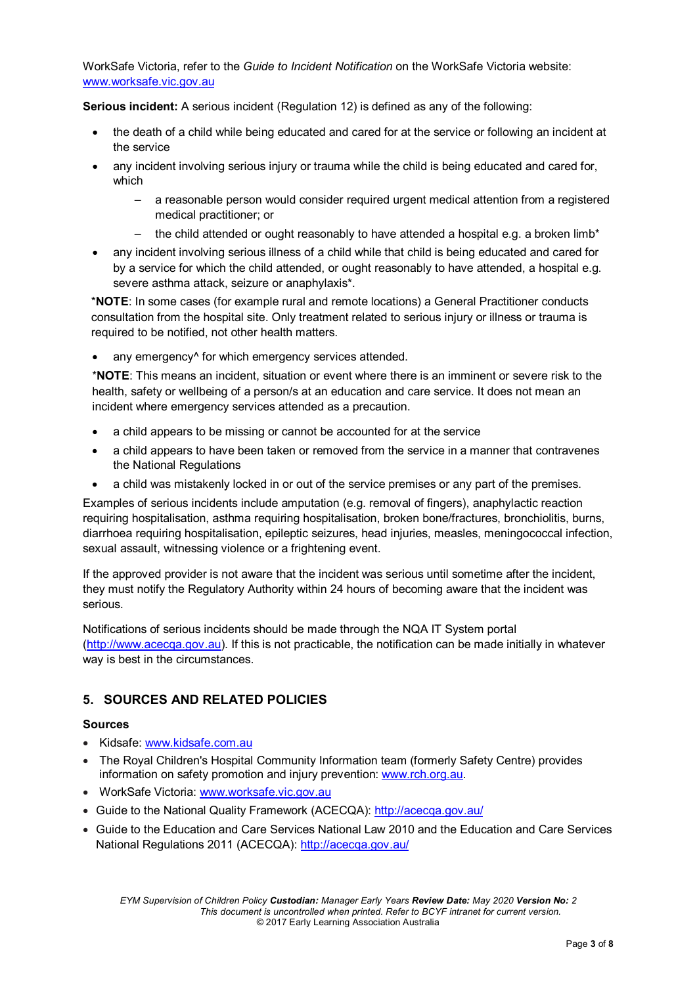WorkSafe Victoria, refer to the *Guide to Incident Notification* on the WorkSafe Victoria website: [www.worksafe.vic.gov.au](http://www.worksafe.vic.gov.au/)

**Serious incident:** A serious incident (Regulation 12) is defined as any of the following:

- the death of a child while being educated and cared for at the service or following an incident at the service
- any incident involving serious injury or trauma while the child is being educated and cared for, which
	- a reasonable person would consider required urgent medical attention from a registered medical practitioner; or
	- the child attended or ought reasonably to have attended a hospital e.g. a broken limb\*
- any incident involving serious illness of a child while that child is being educated and cared for by a service for which the child attended, or ought reasonably to have attended, a hospital e.g. severe asthma attack, seizure or anaphylaxis\*.

\***NOTE**: In some cases (for example rural and remote locations) a General Practitioner conducts consultation from the hospital site. Only treatment related to serious injury or illness or trauma is required to be notified, not other health matters.

any emergency<sup>^</sup> for which emergency services attended.

\***NOTE**: This means an incident, situation or event where there is an imminent or severe risk to the health, safety or wellbeing of a person/s at an education and care service. It does not mean an incident where emergency services attended as a precaution.

- a child appears to be missing or cannot be accounted for at the service
- a child appears to have been taken or removed from the service in a manner that contravenes the National Regulations
- a child was mistakenly locked in or out of the service premises or any part of the premises.

Examples of serious incidents include amputation (e.g. removal of fingers), anaphylactic reaction requiring hospitalisation, asthma requiring hospitalisation, broken bone/fractures, bronchiolitis, burns, diarrhoea requiring hospitalisation, epileptic seizures, head injuries, measles, meningococcal infection, sexual assault, witnessing violence or a frightening event.

If the approved provider is not aware that the incident was serious until sometime after the incident, they must notify the Regulatory Authority within 24 hours of becoming aware that the incident was serious.

Notifications of serious incidents should be made through the NQA IT System portal [\(http://www.acecqa.gov.au\)](http://www.acecqa.gov.au/). If this is not practicable, the notification can be made initially in whatever way is best in the circumstances.

### **5. SOURCES AND RELATED POLICIES**

#### **Sources**

- Kidsafe: [www.kidsafe.com.au](http://www.kidsafe.com.au/)
- The Royal Children's Hospital Community Information team (formerly Safety Centre) provides information on safety promotion and injury prevention: [www.rch.org.au.](https://www.rch.org.au/home/)
- WorkSafe Victoria: [www.worksafe.vic.gov.au](http://www.worksafe.vic.gov.au/)
- Guide to the National Quality Framework (ACECQA):<http://acecqa.gov.au/>
- Guide to the Education and Care Services National Law 2010 and the Education and Care Services National Regulations 2011 (ACECQA):<http://acecqa.gov.au/>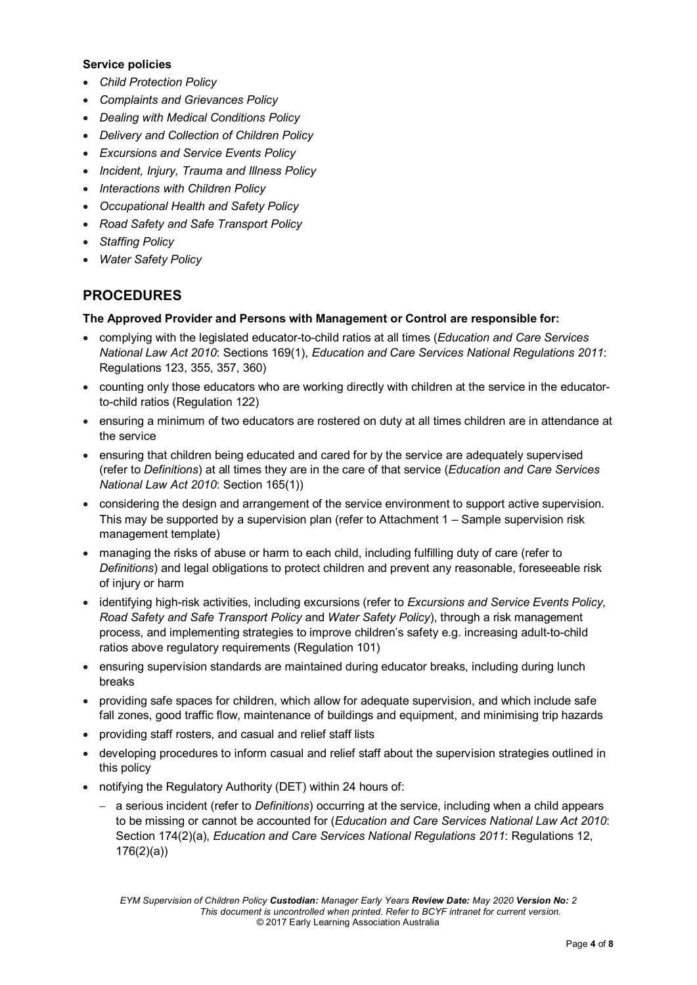#### **Service policies**

- *Child Protection Policy*
- *Complaints and Grievances Policy*
- *Dealing with Medical Conditions Policy*
- *Delivery and Collection of Children Policy*
- *Excursions and Service Events Policy*
- *Incident, Injury, Trauma and Illness Policy*
- *Interactions with Children Policy*
- *Occupational Health and Safety Policy*
- *Road Safety and Safe Transport Policy*
- *Staffing Policy*
- *Water Safety Policy*

# **PROCEDURES**

#### **The Approved Provider and Persons with Management or Control are responsible for:**

- complying with the legislated educator-to-child ratios at all times (*Education and Care Services National Law Act 2010*: Sections 169(1), *Education and Care Services National Regulations 2011*: Regulations 123, 355, 357, 360)
- counting only those educators who are working directly with children at the service in the educatorto-child ratios (Regulation 122)
- ensuring a minimum of two educators are rostered on duty at all times children are in attendance at the service
- ensuring that children being educated and cared for by the service are adequately supervised (refer to *Definitions*) at all times they are in the care of that service (*Education and Care Services National Law Act 2010*: Section 165(1))
- considering the design and arrangement of the service environment to support active supervision. This may be supported by a supervision plan (refer to Attachment 1 – Sample supervision risk management template)
- managing the risks of abuse or harm to each child, including fulfilling duty of care (refer to *Definitions*) and legal obligations to protect children and prevent any reasonable, foreseeable risk of injury or harm
- identifying high-risk activities, including excursions (refer to *Excursions and Service Events Policy, Road Safety and Safe Transport Policy* and *Water Safety Policy*), through a risk management process, and implementing strategies to improve children's safety e.g. increasing adult-to-child ratios above regulatory requirements (Regulation 101)
- ensuring supervision standards are maintained during educator breaks, including during lunch breaks
- providing safe spaces for children, which allow for adequate supervision, and which include safe fall zones, good traffic flow, maintenance of buildings and equipment, and minimising trip hazards
- providing staff rosters, and casual and relief staff lists
- developing procedures to inform casual and relief staff about the supervision strategies outlined in this policy
- notifying the Regulatory Authority (DET) within 24 hours of:
	- − a serious incident (refer to *Definitions*) occurring at the service, including when a child appears to be missing or cannot be accounted for (*Education and Care Services National Law Act 2010*: Section 174(2)(a), *Education and Care Services National Regulations 2011*: Regulations 12, 176(2)(a))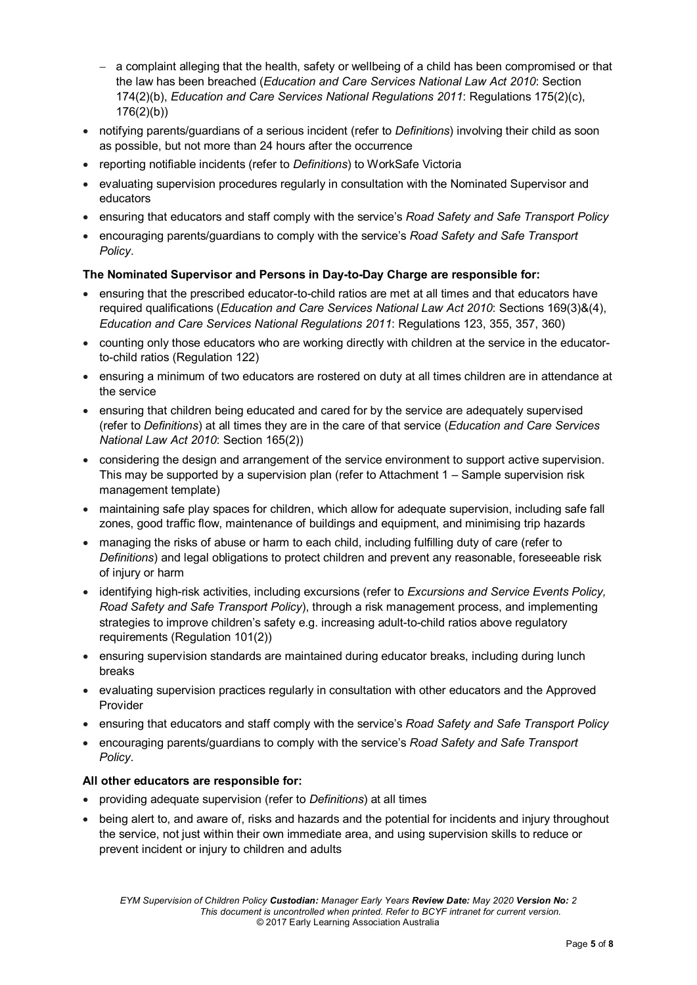- − a complaint alleging that the health, safety or wellbeing of a child has been compromised or that the law has been breached (*Education and Care Services National Law Act 2010*: Section 174(2)(b), *Education and Care Services National Regulations 2011*: Regulations 175(2)(c), 176(2)(b))
- notifying parents/guardians of a serious incident (refer to *Definitions*) involving their child as soon as possible, but not more than 24 hours after the occurrence
- reporting notifiable incidents (refer to *Definitions*) to WorkSafe Victoria
- evaluating supervision procedures regularly in consultation with the Nominated Supervisor and educators
- ensuring that educators and staff comply with the service's *Road Safety and Safe Transport Policy*
- encouraging parents/guardians to comply with the service's *Road Safety and Safe Transport Policy*.

#### **The Nominated Supervisor and Persons in Day-to-Day Charge are responsible for:**

- ensuring that the prescribed educator-to-child ratios are met at all times and that educators have required qualifications (*Education and Care Services National Law Act 2010*: Sections 169(3)&(4), *Education and Care Services National Regulations 2011*: Regulations 123, 355, 357, 360)
- counting only those educators who are working directly with children at the service in the educatorto-child ratios (Regulation 122)
- ensuring a minimum of two educators are rostered on duty at all times children are in attendance at the service
- ensuring that children being educated and cared for by the service are adequately supervised (refer to *Definitions*) at all times they are in the care of that service (*Education and Care Services National Law Act 2010*: Section 165(2))
- considering the design and arrangement of the service environment to support active supervision. This may be supported by a supervision plan (refer to Attachment 1 – Sample supervision risk management template)
- maintaining safe play spaces for children, which allow for adequate supervision, including safe fall zones, good traffic flow, maintenance of buildings and equipment, and minimising trip hazards
- managing the risks of abuse or harm to each child, including fulfilling duty of care (refer to *Definitions*) and legal obligations to protect children and prevent any reasonable, foreseeable risk of injury or harm
- identifying high-risk activities, including excursions (refer to *Excursions and Service Events Policy, Road Safety and Safe Transport Policy*), through a risk management process, and implementing strategies to improve children's safety e.g. increasing adult-to-child ratios above regulatory requirements (Regulation 101(2))
- ensuring supervision standards are maintained during educator breaks, including during lunch breaks
- evaluating supervision practices regularly in consultation with other educators and the Approved Provider
- ensuring that educators and staff comply with the service's *Road Safety and Safe Transport Policy*
- encouraging parents/guardians to comply with the service's *Road Safety and Safe Transport Policy*.

#### **All other educators are responsible for:**

- providing adequate supervision (refer to *Definitions*) at all times
- being alert to, and aware of, risks and hazards and the potential for incidents and injury throughout the service, not just within their own immediate area, and using supervision skills to reduce or prevent incident or injury to children and adults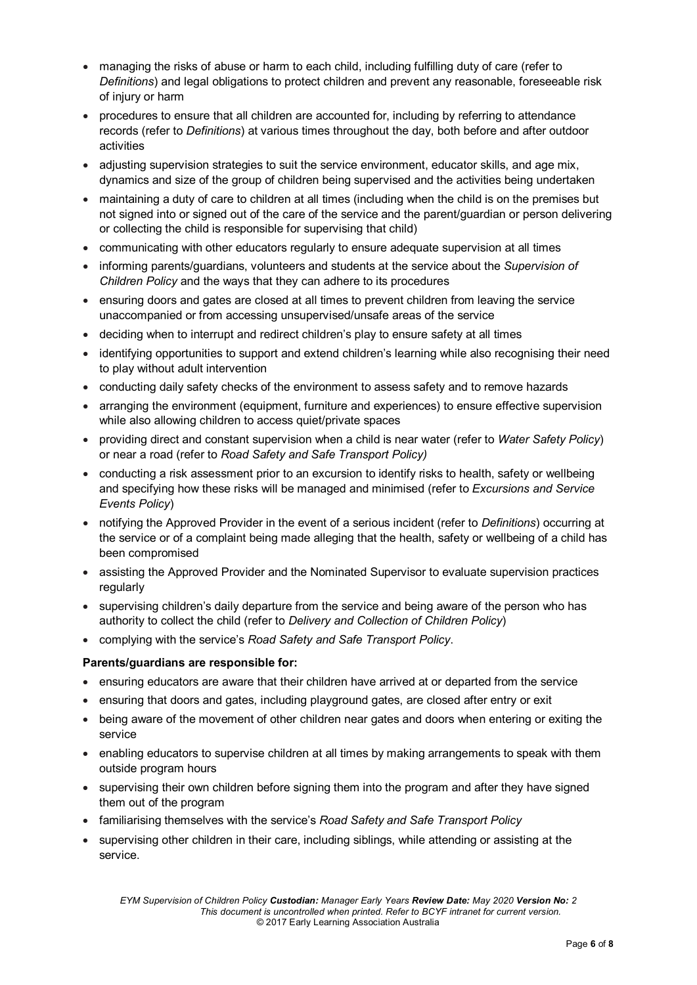- managing the risks of abuse or harm to each child, including fulfilling duty of care (refer to *Definitions*) and legal obligations to protect children and prevent any reasonable, foreseeable risk of injury or harm
- procedures to ensure that all children are accounted for, including by referring to attendance records (refer to *Definitions*) at various times throughout the day, both before and after outdoor activities
- adjusting supervision strategies to suit the service environment, educator skills, and age mix, dynamics and size of the group of children being supervised and the activities being undertaken
- maintaining a duty of care to children at all times (including when the child is on the premises but not signed into or signed out of the care of the service and the parent/guardian or person delivering or collecting the child is responsible for supervising that child)
- communicating with other educators regularly to ensure adequate supervision at all times
- informing parents/guardians, volunteers and students at the service about the *Supervision of Children Policy* and the ways that they can adhere to its procedures
- ensuring doors and gates are closed at all times to prevent children from leaving the service unaccompanied or from accessing unsupervised/unsafe areas of the service
- deciding when to interrupt and redirect children's play to ensure safety at all times
- identifying opportunities to support and extend children's learning while also recognising their need to play without adult intervention
- conducting daily safety checks of the environment to assess safety and to remove hazards
- arranging the environment (equipment, furniture and experiences) to ensure effective supervision while also allowing children to access quiet/private spaces
- providing direct and constant supervision when a child is near water (refer to *Water Safety Policy*) or near a road (refer to *Road Safety and Safe Transport Policy)*
- conducting a risk assessment prior to an excursion to identify risks to health, safety or wellbeing and specifying how these risks will be managed and minimised (refer to *Excursions and Service Events Policy*)
- notifying the Approved Provider in the event of a serious incident (refer to *Definitions*) occurring at the service or of a complaint being made alleging that the health, safety or wellbeing of a child has been compromised
- assisting the Approved Provider and the Nominated Supervisor to evaluate supervision practices regularly
- supervising children's daily departure from the service and being aware of the person who has authority to collect the child (refer to *Delivery and Collection of Children Policy*)
- complying with the service's *Road Safety and Safe Transport Policy*.

#### **Parents/guardians are responsible for:**

- ensuring educators are aware that their children have arrived at or departed from the service
- ensuring that doors and gates, including playground gates, are closed after entry or exit
- being aware of the movement of other children near gates and doors when entering or exiting the service
- enabling educators to supervise children at all times by making arrangements to speak with them outside program hours
- supervising their own children before signing them into the program and after they have signed them out of the program
- familiarising themselves with the service's *Road Safety and Safe Transport Policy*
- supervising other children in their care, including siblings, while attending or assisting at the service.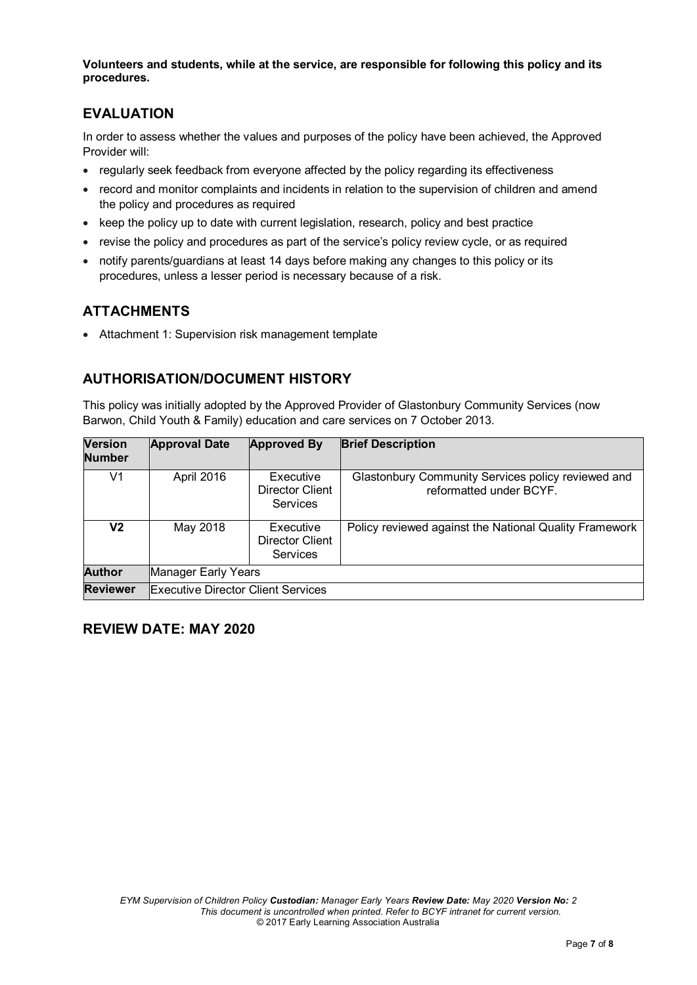**Volunteers and students, while at the service, are responsible for following this policy and its procedures.**

# **EVALUATION**

In order to assess whether the values and purposes of the policy have been achieved, the Approved Provider will:

- regularly seek feedback from everyone affected by the policy regarding its effectiveness
- record and monitor complaints and incidents in relation to the supervision of children and amend the policy and procedures as required
- keep the policy up to date with current legislation, research, policy and best practice
- revise the policy and procedures as part of the service's policy review cycle, or as required
- notify parents/guardians at least 14 days before making any changes to this policy or its procedures, unless a lesser period is necessary because of a risk.

# **ATTACHMENTS**

• Attachment 1: Supervision risk management template

# **AUTHORISATION/DOCUMENT HISTORY**

This policy was initially adopted by the Approved Provider of Glastonbury Community Services (now Barwon, Child Youth & Family) education and care services on 7 October 2013.

| <b>Version</b><br><b>Number</b> | <b>Approval Date</b>                      | <b>Approved By</b>                       | <b>Brief Description</b>                                                      |  |
|---------------------------------|-------------------------------------------|------------------------------------------|-------------------------------------------------------------------------------|--|
| V1                              | April 2016                                | Executive<br>Director Client<br>Services | Glastonbury Community Services policy reviewed and<br>reformatted under BCYF. |  |
| V2                              | May 2018                                  | Executive<br>Director Client<br>Services | Policy reviewed against the National Quality Framework                        |  |
| <b>Author</b>                   | Manager Early Years                       |                                          |                                                                               |  |
| <b>Reviewer</b>                 | <b>Executive Director Client Services</b> |                                          |                                                                               |  |

### **REVIEW DATE: MAY 2020**